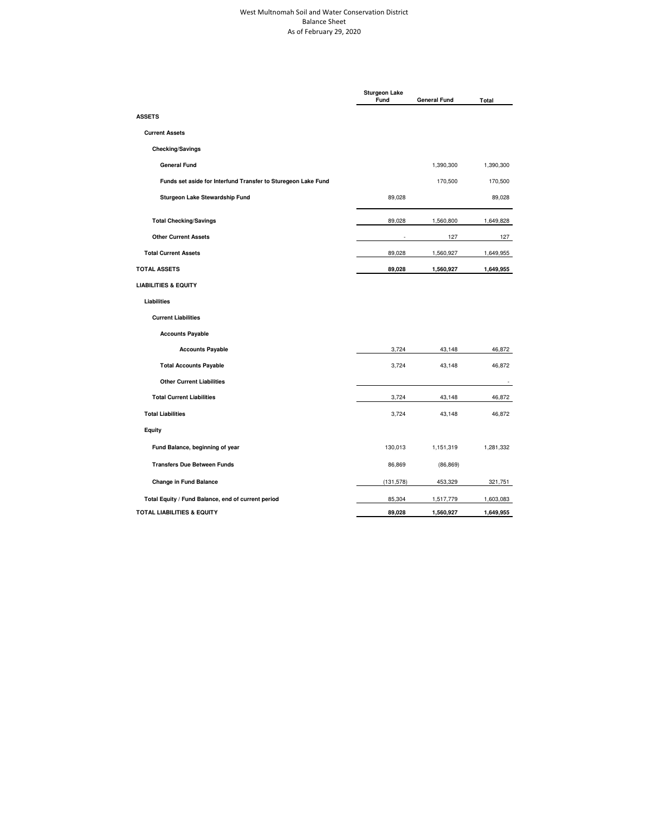## West Multnomah Soil and Water Conservation District Balance Sheet As of February 29, 2020

|                                                               | <b>Sturgeon Lake</b><br>Fund | <b>General Fund</b> | Total     |
|---------------------------------------------------------------|------------------------------|---------------------|-----------|
| <b>ASSETS</b>                                                 |                              |                     |           |
| <b>Current Assets</b>                                         |                              |                     |           |
| <b>Checking/Savings</b>                                       |                              |                     |           |
| <b>General Fund</b>                                           |                              | 1,390,300           | 1,390,300 |
| Funds set aside for Interfund Transfer to Sturegeon Lake Fund |                              | 170,500             | 170,500   |
| Sturgeon Lake Stewardship Fund                                | 89,028                       |                     | 89,028    |
| <b>Total Checking/Savings</b>                                 | 89,028                       | 1,560,800           | 1,649,828 |
| <b>Other Current Assets</b>                                   |                              | 127                 | 127       |
| <b>Total Current Assets</b>                                   | 89,028                       | 1,560,927           | 1,649,955 |
| <b>TOTAL ASSETS</b>                                           | 89,028                       | 1,560,927           | 1,649,955 |
| <b>LIABILITIES &amp; EQUITY</b>                               |                              |                     |           |
| Liabilities                                                   |                              |                     |           |
| <b>Current Liabilities</b>                                    |                              |                     |           |
| <b>Accounts Payable</b>                                       |                              |                     |           |
| <b>Accounts Payable</b>                                       | 3,724                        | 43,148              | 46,872    |
| <b>Total Accounts Payable</b>                                 | 3,724                        | 43,148              | 46,872    |
| <b>Other Current Liabilities</b>                              |                              |                     |           |
| <b>Total Current Liabilities</b>                              | 3,724                        | 43,148              | 46,872    |
| <b>Total Liabilities</b>                                      | 3,724                        | 43,148              | 46,872    |
| <b>Equity</b>                                                 |                              |                     |           |
| Fund Balance, beginning of year                               | 130,013                      | 1,151,319           | 1,281,332 |
| <b>Transfers Due Between Funds</b>                            | 86,869                       | (86, 869)           |           |
| <b>Change in Fund Balance</b>                                 | (131, 578)                   | 453,329             | 321,751   |
| Total Equity / Fund Balance, end of current period            | 85,304                       | 1,517,779           | 1,603,083 |
| <b>TOTAL LIABILITIES &amp; EQUITY</b>                         | 89,028                       | 1,560,927           | 1,649,955 |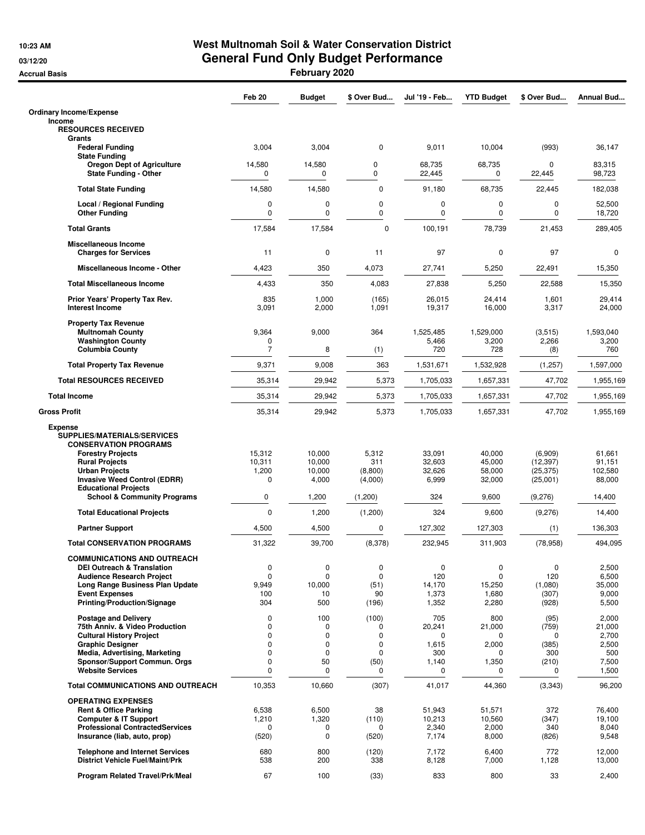## **10:23 AM West Multnomah Soil & Water Conservation District 03/12/20 General Fund Only Budget Performance Accrual Basis February 2020**

|                                                                                                                                                                                                                         | Feb 20                                 | <b>Budget</b>                                | \$ Over Bud                            | Jul '19 - Feb                                    | <b>YTD Budget</b>                              | \$ Over Bud                                             | Annual Bud                                                 |
|-------------------------------------------------------------------------------------------------------------------------------------------------------------------------------------------------------------------------|----------------------------------------|----------------------------------------------|----------------------------------------|--------------------------------------------------|------------------------------------------------|---------------------------------------------------------|------------------------------------------------------------|
| <b>Ordinary Income/Expense</b>                                                                                                                                                                                          |                                        |                                              |                                        |                                                  |                                                |                                                         |                                                            |
| Income<br><b>RESOURCES RECEIVED</b><br>Grants                                                                                                                                                                           |                                        |                                              |                                        |                                                  |                                                |                                                         |                                                            |
| <b>Federal Funding</b><br><b>State Funding</b>                                                                                                                                                                          | 3,004                                  | 3,004                                        | 0                                      | 9,011                                            | 10,004                                         | (993)                                                   | 36,147                                                     |
| <b>Oregon Dept of Agriculture</b><br><b>State Funding - Other</b>                                                                                                                                                       | 14,580<br>0                            | 14,580<br>0                                  | 0<br>0                                 | 68,735<br>22,445                                 | 68,735<br>0                                    | $\mathbf 0$<br>22,445                                   | 83,315<br>98,723                                           |
| <b>Total State Funding</b>                                                                                                                                                                                              | 14,580                                 | 14,580                                       | 0                                      | 91,180                                           | 68,735                                         | 22,445                                                  | 182,038                                                    |
| Local / Regional Funding<br><b>Other Funding</b>                                                                                                                                                                        | 0<br>0                                 | 0<br>0                                       | 0<br>0                                 | 0<br>0                                           | 0<br>$\mathbf 0$                               | 0<br>$\mathbf 0$                                        | 52,500<br>18,720                                           |
| <b>Total Grants</b>                                                                                                                                                                                                     | 17,584                                 | 17,584                                       | 0                                      | 100,191                                          | 78,739                                         | 21,453                                                  | 289,405                                                    |
| <b>Miscellaneous Income</b><br><b>Charges for Services</b>                                                                                                                                                              | 11                                     | $\mathbf 0$                                  | 11                                     | 97                                               | $\mathbf 0$                                    | 97                                                      | 0                                                          |
| Miscellaneous Income - Other                                                                                                                                                                                            | 4,423                                  | 350                                          | 4,073                                  | 27,741                                           | 5,250                                          | 22,491                                                  | 15,350                                                     |
| <b>Total Miscellaneous Income</b>                                                                                                                                                                                       | 4,433                                  | 350                                          | 4,083                                  | 27,838                                           | 5,250                                          | 22,588                                                  | 15,350                                                     |
| Prior Years' Property Tax Rev.<br><b>Interest Income</b>                                                                                                                                                                | 835<br>3,091                           | 1,000<br>2,000                               | (165)<br>1,091                         | 26,015<br>19,317                                 | 24,414<br>16,000                               | 1,601<br>3,317                                          | 29,414<br>24,000                                           |
| <b>Property Tax Revenue</b><br><b>Multnomah County</b><br><b>Washington County</b><br><b>Columbia County</b>                                                                                                            | 9,364<br>0<br>7                        | 9,000<br>8                                   | 364<br>(1)                             | 1,525,485<br>5,466<br>720                        | 1,529,000<br>3,200<br>728                      | (3,515)<br>2,266<br>(8)                                 | 1,593,040<br>3,200<br>760                                  |
| <b>Total Property Tax Revenue</b>                                                                                                                                                                                       | 9,371                                  | 9,008                                        | 363                                    | 1,531,671                                        | 1,532,928                                      | (1, 257)                                                | 1,597,000                                                  |
| <b>Total RESOURCES RECEIVED</b>                                                                                                                                                                                         | 35,314                                 | 29,942                                       | 5,373                                  | 1,705,033                                        | 1,657,331                                      | 47,702                                                  | 1,955,169                                                  |
| <b>Total Income</b>                                                                                                                                                                                                     | 35,314                                 | 29,942                                       | 5,373                                  | 1,705,033                                        | 1,657,331                                      | 47,702                                                  | 1,955,169                                                  |
| <b>Gross Profit</b>                                                                                                                                                                                                     | 35,314                                 | 29,942                                       | 5,373                                  | 1,705,033                                        | 1,657,331                                      | 47,702                                                  | 1,955,169                                                  |
| <b>Expense</b><br>SUPPLIES/MATERIALS/SERVICES<br><b>CONSERVATION PROGRAMS</b><br><b>Forestry Projects</b><br><b>Rural Projects</b><br><b>Urban Projects</b><br><b>Invasive Weed Control (EDRR)</b>                      | 15,312<br>10,311<br>1,200<br>0         | 10,000<br>10,000<br>10,000<br>4,000          | 5,312<br>311<br>(8,800)<br>(4,000)     | 33,091<br>32,603<br>32,626<br>6,999              | 40,000<br>45,000<br>58,000<br>32,000           | (6,909)<br>(12, 397)<br>(25, 375)<br>(25,001)           | 61,661<br>91,151<br>102,580<br>88,000                      |
| <b>Educational Projects</b><br><b>School &amp; Community Programs</b>                                                                                                                                                   | 0                                      | 1,200                                        | (1,200)                                | 324                                              | 9,600                                          | (9,276)                                                 | 14,400                                                     |
| <b>Total Educational Projects</b>                                                                                                                                                                                       | 0                                      | 1,200                                        | (1,200)                                | 324                                              | 9,600                                          | (9,276)                                                 | 14,400                                                     |
| <b>Partner Support</b>                                                                                                                                                                                                  | 4,500                                  | 4,500                                        | 0                                      | 127,302                                          | 127,303                                        | (1)                                                     | 136,303                                                    |
| <b>Total CONSERVATION PROGRAMS</b>                                                                                                                                                                                      | 31,322                                 | 39,700                                       | (8,378)                                | 232,945                                          | 311,903                                        | (78, 958)                                               | 494,095                                                    |
| <b>COMMUNICATIONS AND OUTREACH</b><br><b>DEI Outreach &amp; Translation</b><br><b>Audience Research Project</b><br>Long Range Business Plan Update<br><b>Event Expenses</b><br><b>Printing/Production/Signage</b>       | 0<br>0<br>9,949<br>100<br>304          | 0<br>$\mathbf 0$<br>10,000<br>10<br>500      | 0<br>0<br>(51)<br>90<br>(196)          | 0<br>120<br>14,170<br>1,373<br>1,352             | 0<br>$\mathbf 0$<br>15,250<br>1,680<br>2,280   | $\mathbf 0$<br>120<br>(1,080)<br>(307)<br>(928)         | 2,500<br>6,500<br>35,000<br>9,000<br>5,500                 |
| <b>Postage and Delivery</b><br>75th Anniv. & Video Production<br><b>Cultural History Project</b><br><b>Graphic Designer</b><br>Media, Advertising, Marketing<br>Sponsor/Support Commun. Orgs<br><b>Website Services</b> | 0<br>$\Omega$<br>0<br>0<br>0<br>0<br>0 | 100<br>0<br>0<br>0<br>0<br>50<br>$\mathbf 0$ | (100)<br>0<br>0<br>0<br>0<br>(50)<br>0 | 705<br>20,241<br>0<br>1,615<br>300<br>1,140<br>0 | 800<br>21,000<br>0<br>2,000<br>0<br>1,350<br>0 | (95)<br>(759)<br>$\Omega$<br>(385)<br>300<br>(210)<br>0 | 2,000<br>21,000<br>2,700<br>2,500<br>500<br>7,500<br>1,500 |
| <b>Total COMMUNICATIONS AND OUTREACH</b>                                                                                                                                                                                | 10,353                                 | 10,660                                       | (307)                                  | 41,017                                           | 44,360                                         | (3,343)                                                 | 96,200                                                     |
| <b>OPERATING EXPENSES</b><br><b>Rent &amp; Office Parking</b><br><b>Computer &amp; IT Support</b><br><b>Professional ContractedServices</b><br>Insurance (liab, auto, prop)                                             | 6,538<br>1,210<br>0<br>(520)           | 6,500<br>1,320<br>0<br>0                     | 38<br>(110)<br>0<br>(520)              | 51,943<br>10,213<br>2,340<br>7,174               | 51,571<br>10,560<br>2,000<br>8,000             | 372<br>(347)<br>340<br>(826)                            | 76,400<br>19,100<br>8,040<br>9,548                         |
| <b>Telephone and Internet Services</b><br><b>District Vehicle Fuel/Maint/Prk</b>                                                                                                                                        | 680<br>538                             | 800<br>200                                   | (120)<br>338                           | 7,172<br>8,128                                   | 6,400<br>7,000                                 | 772<br>1,128                                            | 12,000<br>13,000                                           |
| <b>Program Related Travel/Prk/Meal</b>                                                                                                                                                                                  | 67                                     | 100                                          | (33)                                   | 833                                              | 800                                            | 33                                                      | 2,400                                                      |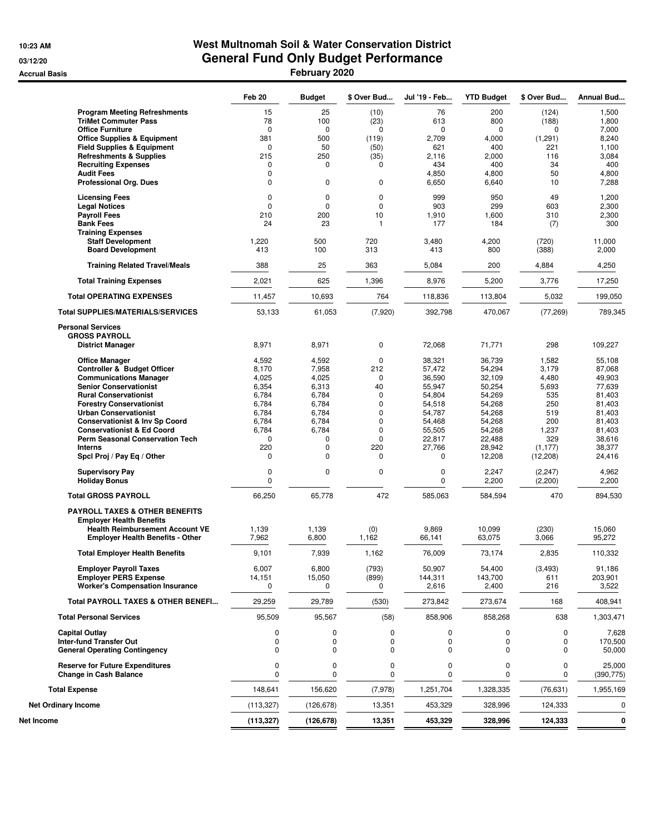## **10:23 AM West Multnomah Soil & Water Conservation District 03/12/20 General Fund Only Budget Performance Accrual Basis February 2020**

|                                                                             | Feb 20           | <b>Budget</b>  | \$ Over Bud  | Jul '19 - Feb    | <b>YTD Budget</b> | \$ Over Bud         | Annual Bud           |
|-----------------------------------------------------------------------------|------------------|----------------|--------------|------------------|-------------------|---------------------|----------------------|
| <b>Program Meeting Refreshments</b>                                         | 15               | 25             | (10)         | 76               | 200               | (124)               | 1,500                |
| <b>TriMet Commuter Pass</b>                                                 | 78               | 100            | (23)         | 613              | 800               | (188)               | 1,800                |
| <b>Office Furniture</b>                                                     | $\mathbf 0$      | $\mathbf 0$    | $\mathbf 0$  | $\mathbf 0$      | $\mathbf 0$       | 0                   | 7,000                |
| <b>Office Supplies &amp; Equipment</b>                                      | 381              | 500            | (119)        | 2,709            | 4,000             | (1,291)             | 8,240                |
| <b>Field Supplies &amp; Equipment</b><br><b>Refreshments &amp; Supplies</b> | $\Omega$<br>215  | 50<br>250      | (50)<br>(35) | 621<br>2,116     | 400<br>2,000      | 221<br>116          | 1,100<br>3,084       |
| <b>Recruiting Expenses</b>                                                  | $\Omega$         | 0              | 0            | 434              | 400               | 34                  | 400                  |
| <b>Audit Fees</b>                                                           | 0                |                |              | 4,850            | 4,800             | 50                  | 4,800                |
| <b>Professional Org. Dues</b>                                               | 0                | 0              | 0            | 6,650            | 6,640             | 10                  | 7,288                |
| <b>Licensing Fees</b>                                                       | $\mathbf 0$      | 0              | 0            | 999              | 950               | 49                  | 1,200                |
| <b>Legal Notices</b><br><b>Payroll Fees</b>                                 | 0                | 0              | 0<br>10      | 903              | 299               | 603                 | 2,300                |
| <b>Bank Fees</b>                                                            | 210<br>24        | 200<br>23      | $\mathbf{1}$ | 1,910<br>177     | 1,600<br>184      | 310<br>(7)          | 2,300<br>300         |
| <b>Training Expenses</b>                                                    |                  |                |              |                  |                   |                     |                      |
| <b>Staff Development</b>                                                    | 1,220            | 500            | 720          | 3,480            | 4,200             | (720)               | 11,000               |
| <b>Board Development</b>                                                    | 413              | 100            | 313          | 413              | 800               | (388)               | 2,000                |
| <b>Training Related Travel/Meals</b>                                        | 388              | 25             | 363          | 5,084            | 200               | 4,884               | 4,250                |
| <b>Total Training Expenses</b>                                              | 2,021            | 625            | 1,396        | 8,976            | 5,200             | 3,776               | 17,250               |
| <b>Total OPERATING EXPENSES</b>                                             | 11,457           | 10,693         | 764          | 118,836          | 113,804           | 5,032               | 199,050              |
| <b>Total SUPPLIES/MATERIALS/SERVICES</b>                                    | 53,133           | 61,053         | (7,920)      | 392,798          | 470,067           | (77, 269)           | 789,345              |
| <b>Personal Services</b><br><b>GROSS PAYROLL</b>                            |                  |                |              |                  |                   |                     |                      |
| <b>District Manager</b>                                                     | 8,971            | 8,971          | $\mathbf 0$  | 72,068           | 71,771            | 298                 | 109,227              |
| <b>Office Manager</b>                                                       | 4,592            | 4,592          | 0            | 38,321           | 36,739            | 1,582               | 55,108               |
| Controller & Budget Officer                                                 | 8,170            | 7,958          | 212          | 57,472           | 54,294            | 3,179               | 87,068               |
| <b>Communications Manager</b>                                               | 4,025            | 4,025          | 0            | 36,590           | 32,109            | 4,480               | 49,903               |
| <b>Senior Conservationist</b>                                               | 6,354            | 6,313          | 40           | 55,947           | 50,254            | 5,693<br>535        | 77,639               |
| <b>Rural Conservationist</b><br><b>Forestry Conservationist</b>             | 6,784<br>6,784   | 6,784<br>6,784 | 0<br>0       | 54,804<br>54,518 | 54,269<br>54,268  | 250                 | 81,403<br>81,403     |
| <b>Urban Conservationist</b>                                                | 6,784            | 6,784          | 0            | 54,787           | 54,268            | 519                 | 81,403               |
| <b>Conservationist &amp; Inv Sp Coord</b>                                   | 6,784            | 6,784          | 0            | 54,468           | 54,268            | 200                 | 81,403               |
| <b>Conservationist &amp; Ed Coord</b>                                       | 6,784            | 6,784          | 0            | 55,505           | 54,268            | 1,237               | 81,403               |
| <b>Perm Seasonal Conservation Tech</b>                                      | 0                | 0              | $\mathbf 0$  | 22,817           | 22,488            | 329                 | 38,616               |
| <b>Interns</b>                                                              | 220              | 0              | 220          | 27,766           | 28,942            | (1, 177)            | 38,377               |
| Spcl Proj / Pay Eq / Other                                                  | 0                | 0              | 0            | 0                | 12,208            | (12, 208)           | 24,416               |
| <b>Supervisory Pay</b><br><b>Holiday Bonus</b>                              | 0<br>0           | 0              | 0            | 0<br>0           | 2,247<br>2,200    | (2, 247)<br>(2,200) | 4,962<br>2,200       |
| <b>Total GROSS PAYROLL</b>                                                  | 66,250           | 65,778         | 472          | 585,063          | 584,594           | 470                 | 894,530              |
| <b>PAYROLL TAXES &amp; OTHER BENEFITS</b>                                   |                  |                |              |                  |                   |                     |                      |
| <b>Employer Health Benefits</b>                                             |                  |                |              |                  |                   |                     |                      |
| <b>Health Reimbursement Account VE</b>                                      | 1,139            | 1,139          | (0)          | 9,869            | 10,099            | (230)               | 15,060               |
| <b>Employer Health Benefits - Other</b>                                     | 7,962            | 6,800          | 1,162        | 66,141           | 63,075            | 3,066               | 95,272               |
| <b>Total Employer Health Benefits</b>                                       | 9,101            | 7,939          | 1,162        | 76,009           | 73,174            | 2,835               | 110,332              |
| <b>Employer Payroll Taxes</b>                                               | 6,007            | 6,800          | (793)        | 50,907           | 54,400            | (3, 493)            | 91,186               |
| <b>Employer PERS Expense</b><br><b>Worker's Compensation Insurance</b>      | 14,151<br>0      | 15,050<br>0    | (899)<br>0   | 144,311<br>2,616 | 143,700<br>2,400  | 611<br>216          | 203,901<br>3,522     |
| Total PAYROLL TAXES & OTHER BENEFI                                          | 29,259           | 29,789         | (530)        | 273,842          | 273,674           | 168                 | 408,941              |
| <b>Total Personal Services</b>                                              | 95,509           | 95,567         | (58)         | 858,906          | 858,268           | 638                 | 1,303,471            |
| <b>Capital Outlay</b>                                                       | 0                | 0              | 0            | 0                | 0                 | 0                   | 7,628                |
| Inter-fund Transfer Out<br><b>General Operating Contingency</b>             | 0<br>$\mathbf 0$ | 0<br>0         | 0<br>0       | 0<br>0           | 0<br>0            | 0<br>0              | 170,500<br>50,000    |
| <b>Reserve for Future Expenditures</b><br><b>Change in Cash Balance</b>     | 0<br>$\mathbf 0$ | 0<br>$\Omega$  | 0<br>0       | 0<br>0           | 0<br>0            | 0<br>0              | 25,000<br>(390, 775) |
| <b>Total Expense</b>                                                        | 148,641          | 156,620        | (7,978)      | 1,251,704        | 1,328,335         | (76, 631)           | 1,955,169            |
| <b>Net Ordinary Income</b>                                                  | (113, 327)       | (126, 678)     | 13,351       | 453,329          | 328,996           | 124,333             | 0                    |
| Net Income                                                                  | (113, 327)       | (126,678)      | 13,351       | 453,329          | 328,996           | 124,333             | 0                    |
|                                                                             |                  |                |              |                  |                   |                     |                      |